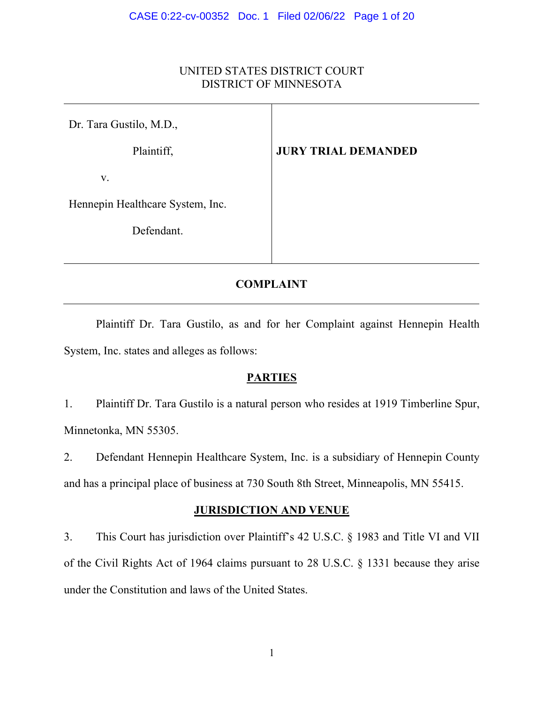# UNITED STATES DISTRICT COURT DISTRICT OF MINNESOTA

| Dr. Tara Gustilo, M.D.,          |                            |
|----------------------------------|----------------------------|
| Plaintiff,                       | <b>JURY TRIAL DEMANDED</b> |
| V.                               |                            |
| Hennepin Healthcare System, Inc. |                            |
| Defendant.                       |                            |

# **COMPLAINT**

Plaintiff Dr. Tara Gustilo, as and for her Complaint against Hennepin Health System, Inc. states and alleges as follows:

# **PARTIES**

1. Plaintiff Dr. Tara Gustilo is a natural person who resides at 1919 Timberline Spur, Minnetonka, MN 55305.

2. Defendant Hennepin Healthcare System, Inc. is a subsidiary of Hennepin County and has a principal place of business at 730 South 8th Street, Minneapolis, MN 55415.

# **JURISDICTION AND VENUE**

3. This Court has jurisdiction over Plaintiff's 42 U.S.C. § 1983 and Title VI and VII of the Civil Rights Act of 1964 claims pursuant to 28 U.S.C. § 1331 because they arise under the Constitution and laws of the United States.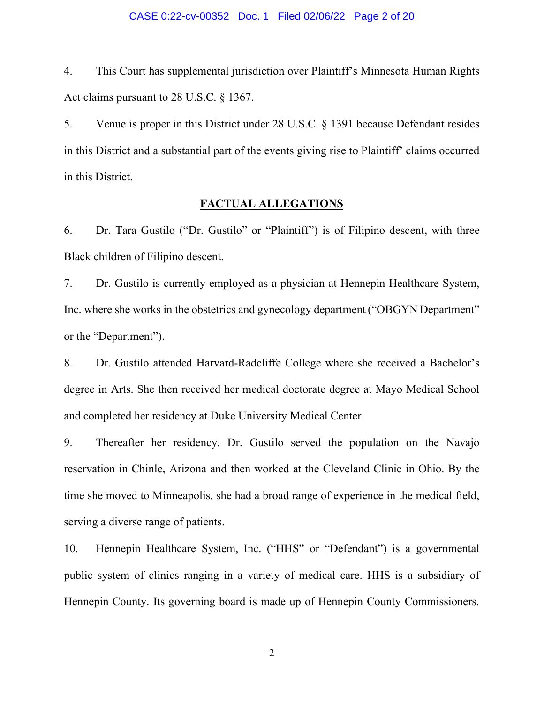#### CASE 0:22-cv-00352 Doc. 1 Filed 02/06/22 Page 2 of 20

4. This Court has supplemental jurisdiction over Plaintiff's Minnesota Human Rights Act claims pursuant to 28 U.S.C. § 1367.

5. Venue is proper in this District under 28 U.S.C. § 1391 because Defendant resides in this District and a substantial part of the events giving rise to Plaintiff' claims occurred in this District.

## **FACTUAL ALLEGATIONS**

6. Dr. Tara Gustilo ("Dr. Gustilo" or "Plaintiff") is of Filipino descent, with three Black children of Filipino descent.

7. Dr. Gustilo is currently employed as a physician at Hennepin Healthcare System, Inc. where she works in the obstetrics and gynecology department ("OBGYN Department" or the "Department").

8. Dr. Gustilo attended Harvard-Radcliffe College where she received a Bachelor's degree in Arts. She then received her medical doctorate degree at Mayo Medical School and completed her residency at Duke University Medical Center.

9. Thereafter her residency, Dr. Gustilo served the population on the Navajo reservation in Chinle, Arizona and then worked at the Cleveland Clinic in Ohio. By the time she moved to Minneapolis, she had a broad range of experience in the medical field, serving a diverse range of patients.

10. Hennepin Healthcare System, Inc. ("HHS" or "Defendant") is a governmental public system of clinics ranging in a variety of medical care. HHS is a subsidiary of Hennepin County. Its governing board is made up of Hennepin County Commissioners.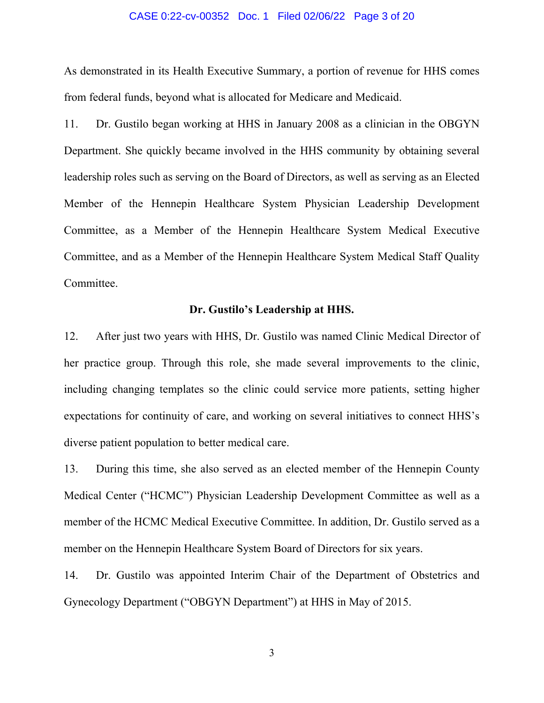#### CASE 0:22-cv-00352 Doc. 1 Filed 02/06/22 Page 3 of 20

As demonstrated in its Health Executive Summary, a portion of revenue for HHS comes from federal funds, beyond what is allocated for Medicare and Medicaid.

11. Dr. Gustilo began working at HHS in January 2008 as a clinician in the OBGYN Department. She quickly became involved in the HHS community by obtaining several leadership roles such as serving on the Board of Directors, as well as serving as an Elected Member of the Hennepin Healthcare System Physician Leadership Development Committee, as a Member of the Hennepin Healthcare System Medical Executive Committee, and as a Member of the Hennepin Healthcare System Medical Staff Quality Committee.

## **Dr. Gustilo's Leadership at HHS.**

12. After just two years with HHS, Dr. Gustilo was named Clinic Medical Director of her practice group. Through this role, she made several improvements to the clinic, including changing templates so the clinic could service more patients, setting higher expectations for continuity of care, and working on several initiatives to connect HHS's diverse patient population to better medical care.

13. During this time, she also served as an elected member of the Hennepin County Medical Center ("HCMC") Physician Leadership Development Committee as well as a member of the HCMC Medical Executive Committee. In addition, Dr. Gustilo served as a member on the Hennepin Healthcare System Board of Directors for six years.

14. Dr. Gustilo was appointed Interim Chair of the Department of Obstetrics and Gynecology Department ("OBGYN Department") at HHS in May of 2015.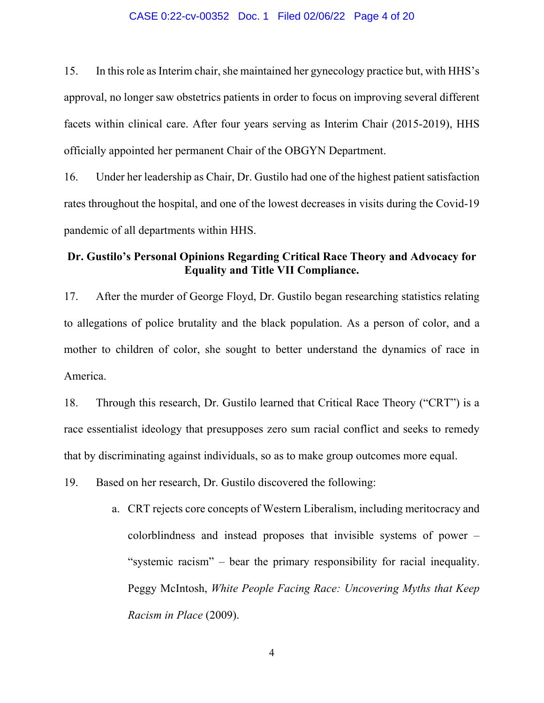#### CASE 0:22-cv-00352 Doc. 1 Filed 02/06/22 Page 4 of 20

15. In this role as Interim chair, she maintained her gynecology practice but, with HHS's approval, no longer saw obstetrics patients in order to focus on improving several different facets within clinical care. After four years serving as Interim Chair (2015-2019), HHS officially appointed her permanent Chair of the OBGYN Department.

16. Under her leadership as Chair, Dr. Gustilo had one of the highest patient satisfaction rates throughout the hospital, and one of the lowest decreases in visits during the Covid-19 pandemic of all departments within HHS.

# **Dr. Gustilo's Personal Opinions Regarding Critical Race Theory and Advocacy for Equality and Title VII Compliance.**

17. After the murder of George Floyd, Dr. Gustilo began researching statistics relating to allegations of police brutality and the black population. As a person of color, and a mother to children of color, she sought to better understand the dynamics of race in America.

18. Through this research, Dr. Gustilo learned that Critical Race Theory ("CRT") is a race essentialist ideology that presupposes zero sum racial conflict and seeks to remedy that by discriminating against individuals, so as to make group outcomes more equal.

19. Based on her research, Dr. Gustilo discovered the following:

a. CRT rejects core concepts of Western Liberalism, including meritocracy and colorblindness and instead proposes that invisible systems of power – "systemic racism" – bear the primary responsibility for racial inequality. Peggy McIntosh, *White People Facing Race: Uncovering Myths that Keep Racism in Place* (2009).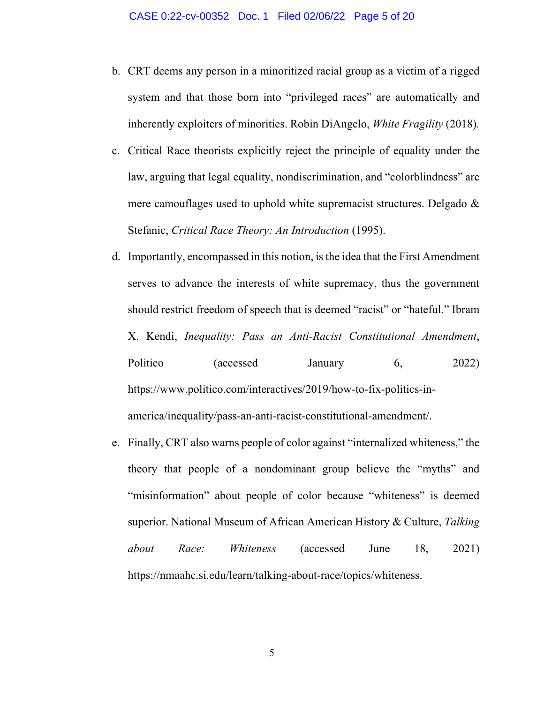- b. CRT deems any person in a minoritized racial group as a victim of a rigged system and that those born into "privileged races" are automatically and inherently exploiters of minorities. Robin DiAngelo, *White Fragility* (2018)*.*
- c. Critical Race theorists explicitly reject the principle of equality under the law, arguing that legal equality, nondiscrimination, and "colorblindness" are mere camouflages used to uphold white supremacist structures. Delgado & Stefanic, *Critical Race Theory: An Introduction* (1995).
- d. Importantly, encompassed in this notion, is the idea that the First Amendment serves to advance the interests of white supremacy, thus the government should restrict freedom of speech that is deemed "racist" or "hateful." Ibram X. Kendi, *Inequality: Pass an Anti-Racist Constitutional Amendment*, Politico (accessed January 6, 2022) https://www.politico.com/interactives/2019/how-to-fix-politics-inamerica/inequality/pass-an-anti-racist-constitutional-amendment/.
- e. Finally, CRT also warns people of color against "internalized whiteness," the theory that people of a nondominant group believe the "myths" and "misinformation" about people of color because "whiteness" is deemed superior. National Museum of African American History & Culture, *Talking about Race: Whiteness* (accessed June 18, 2021) https://nmaahc.si.edu/learn/talking-about-race/topics/whiteness.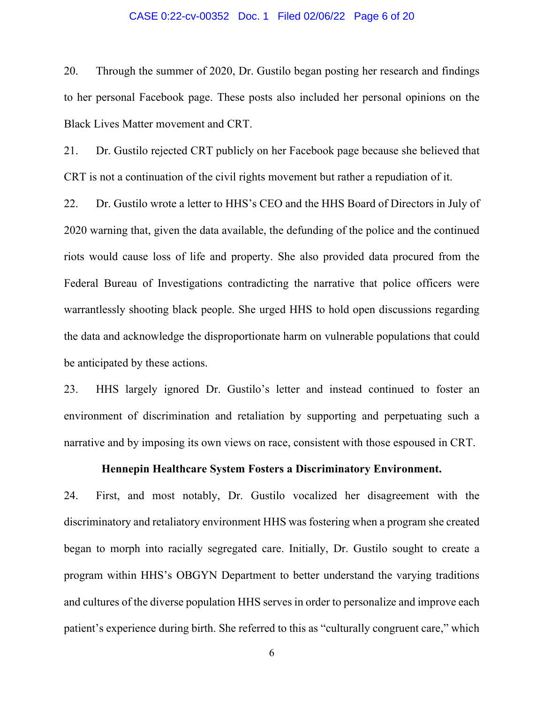## CASE 0:22-cv-00352 Doc. 1 Filed 02/06/22 Page 6 of 20

20. Through the summer of 2020, Dr. Gustilo began posting her research and findings to her personal Facebook page. These posts also included her personal opinions on the Black Lives Matter movement and CRT.

21. Dr. Gustilo rejected CRT publicly on her Facebook page because she believed that CRT is not a continuation of the civil rights movement but rather a repudiation of it.

22. Dr. Gustilo wrote a letter to HHS's CEO and the HHS Board of Directors in July of 2020 warning that, given the data available, the defunding of the police and the continued riots would cause loss of life and property. She also provided data procured from the Federal Bureau of Investigations contradicting the narrative that police officers were warrantlessly shooting black people. She urged HHS to hold open discussions regarding the data and acknowledge the disproportionate harm on vulnerable populations that could be anticipated by these actions.

23. HHS largely ignored Dr. Gustilo's letter and instead continued to foster an environment of discrimination and retaliation by supporting and perpetuating such a narrative and by imposing its own views on race, consistent with those espoused in CRT.

# **Hennepin Healthcare System Fosters a Discriminatory Environment.**

24. First, and most notably, Dr. Gustilo vocalized her disagreement with the discriminatory and retaliatory environment HHS was fostering when a program she created began to morph into racially segregated care. Initially, Dr. Gustilo sought to create a program within HHS's OBGYN Department to better understand the varying traditions and cultures of the diverse population HHS serves in order to personalize and improve each patient's experience during birth. She referred to this as "culturally congruent care," which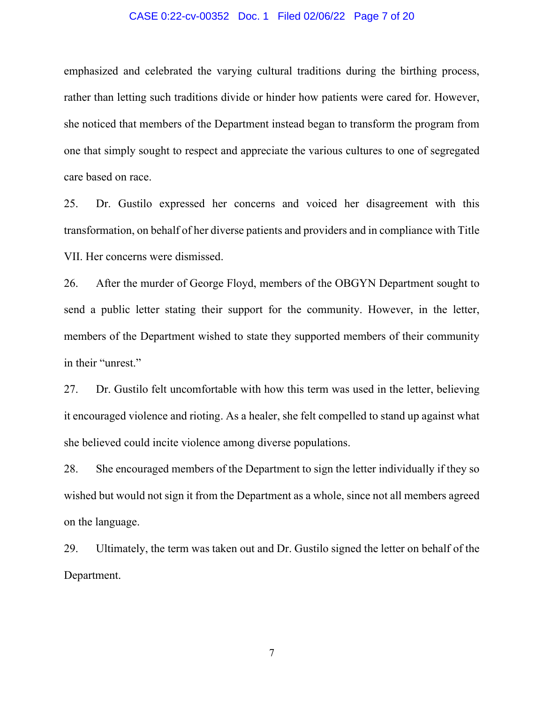#### CASE 0:22-cv-00352 Doc. 1 Filed 02/06/22 Page 7 of 20

emphasized and celebrated the varying cultural traditions during the birthing process, rather than letting such traditions divide or hinder how patients were cared for. However, she noticed that members of the Department instead began to transform the program from one that simply sought to respect and appreciate the various cultures to one of segregated care based on race.

25. Dr. Gustilo expressed her concerns and voiced her disagreement with this transformation, on behalf of her diverse patients and providers and in compliance with Title VII. Her concerns were dismissed.

26. After the murder of George Floyd, members of the OBGYN Department sought to send a public letter stating their support for the community. However, in the letter, members of the Department wished to state they supported members of their community in their "unrest."

27. Dr. Gustilo felt uncomfortable with how this term was used in the letter, believing it encouraged violence and rioting. As a healer, she felt compelled to stand up against what she believed could incite violence among diverse populations.

28. She encouraged members of the Department to sign the letter individually if they so wished but would not sign it from the Department as a whole, since not all members agreed on the language.

29. Ultimately, the term was taken out and Dr. Gustilo signed the letter on behalf of the Department.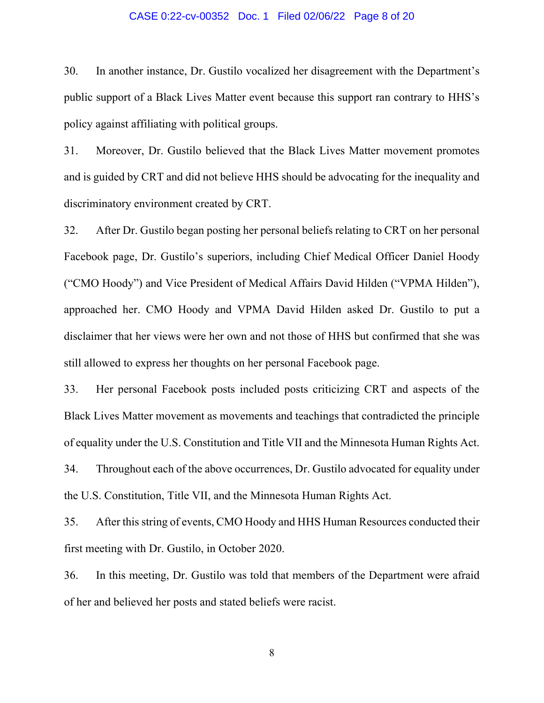#### CASE 0:22-cv-00352 Doc. 1 Filed 02/06/22 Page 8 of 20

30. In another instance, Dr. Gustilo vocalized her disagreement with the Department's public support of a Black Lives Matter event because this support ran contrary to HHS's policy against affiliating with political groups.

31. Moreover, Dr. Gustilo believed that the Black Lives Matter movement promotes and is guided by CRT and did not believe HHS should be advocating for the inequality and discriminatory environment created by CRT.

32. After Dr. Gustilo began posting her personal beliefs relating to CRT on her personal Facebook page, Dr. Gustilo's superiors, including Chief Medical Officer Daniel Hoody ("CMO Hoody") and Vice President of Medical Affairs David Hilden ("VPMA Hilden"), approached her. CMO Hoody and VPMA David Hilden asked Dr. Gustilo to put a disclaimer that her views were her own and not those of HHS but confirmed that she was still allowed to express her thoughts on her personal Facebook page.

33. Her personal Facebook posts included posts criticizing CRT and aspects of the Black Lives Matter movement as movements and teachings that contradicted the principle of equality under the U.S. Constitution and Title VII and the Minnesota Human Rights Act. 34. Throughout each of the above occurrences, Dr. Gustilo advocated for equality under the U.S. Constitution, Title VII, and the Minnesota Human Rights Act.

35. After this string of events, CMO Hoody and HHS Human Resources conducted their first meeting with Dr. Gustilo, in October 2020.

36. In this meeting, Dr. Gustilo was told that members of the Department were afraid of her and believed her posts and stated beliefs were racist.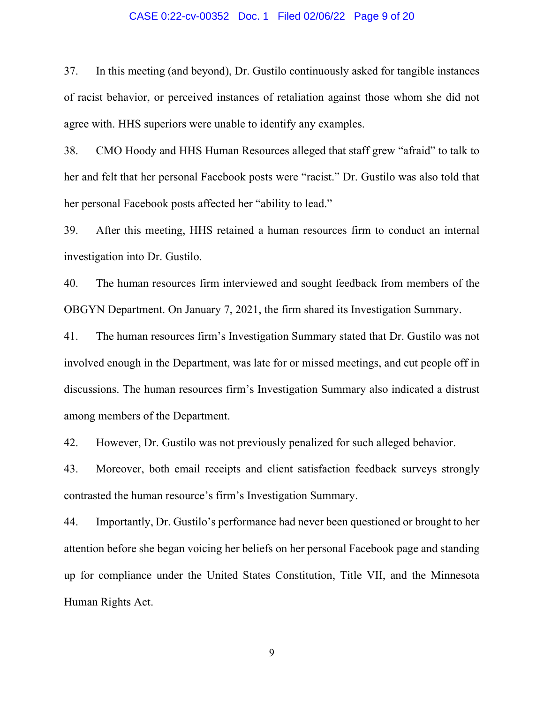#### CASE 0:22-cv-00352 Doc. 1 Filed 02/06/22 Page 9 of 20

37. In this meeting (and beyond), Dr. Gustilo continuously asked for tangible instances of racist behavior, or perceived instances of retaliation against those whom she did not agree with. HHS superiors were unable to identify any examples.

38. CMO Hoody and HHS Human Resources alleged that staff grew "afraid" to talk to her and felt that her personal Facebook posts were "racist." Dr. Gustilo was also told that her personal Facebook posts affected her "ability to lead."

39. After this meeting, HHS retained a human resources firm to conduct an internal investigation into Dr. Gustilo.

40. The human resources firm interviewed and sought feedback from members of the OBGYN Department. On January 7, 2021, the firm shared its Investigation Summary.

41. The human resources firm's Investigation Summary stated that Dr. Gustilo was not involved enough in the Department, was late for or missed meetings, and cut people off in discussions. The human resources firm's Investigation Summary also indicated a distrust among members of the Department.

42. However, Dr. Gustilo was not previously penalized for such alleged behavior.

43. Moreover, both email receipts and client satisfaction feedback surveys strongly contrasted the human resource's firm's Investigation Summary.

44. Importantly, Dr. Gustilo's performance had never been questioned or brought to her attention before she began voicing her beliefs on her personal Facebook page and standing up for compliance under the United States Constitution, Title VII, and the Minnesota Human Rights Act.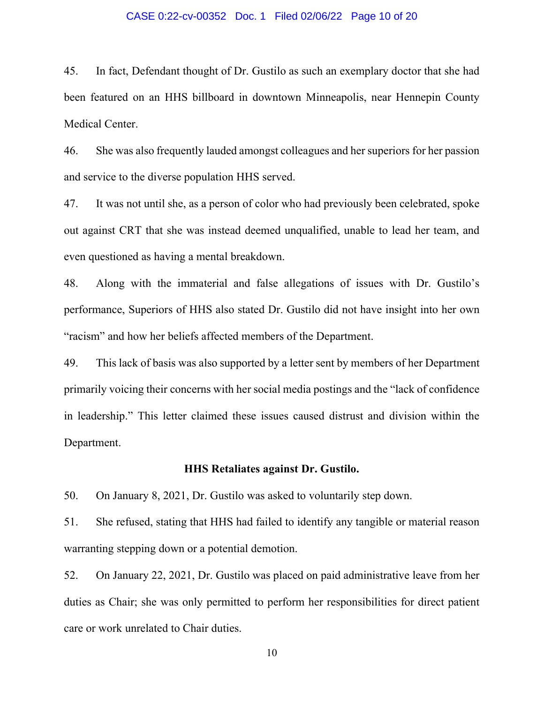### CASE 0:22-cv-00352 Doc. 1 Filed 02/06/22 Page 10 of 20

45. In fact, Defendant thought of Dr. Gustilo as such an exemplary doctor that she had been featured on an HHS billboard in downtown Minneapolis, near Hennepin County Medical Center.

46. She was also frequently lauded amongst colleagues and her superiors for her passion and service to the diverse population HHS served.

47. It was not until she, as a person of color who had previously been celebrated, spoke out against CRT that she was instead deemed unqualified, unable to lead her team, and even questioned as having a mental breakdown.

48. Along with the immaterial and false allegations of issues with Dr. Gustilo's performance, Superiors of HHS also stated Dr. Gustilo did not have insight into her own "racism" and how her beliefs affected members of the Department.

49. This lack of basis was also supported by a letter sent by members of her Department primarily voicing their concerns with her social media postings and the "lack of confidence in leadership." This letter claimed these issues caused distrust and division within the Department.

## **HHS Retaliates against Dr. Gustilo.**

50. On January 8, 2021, Dr. Gustilo was asked to voluntarily step down.

51. She refused, stating that HHS had failed to identify any tangible or material reason warranting stepping down or a potential demotion.

52. On January 22, 2021, Dr. Gustilo was placed on paid administrative leave from her duties as Chair; she was only permitted to perform her responsibilities for direct patient care or work unrelated to Chair duties.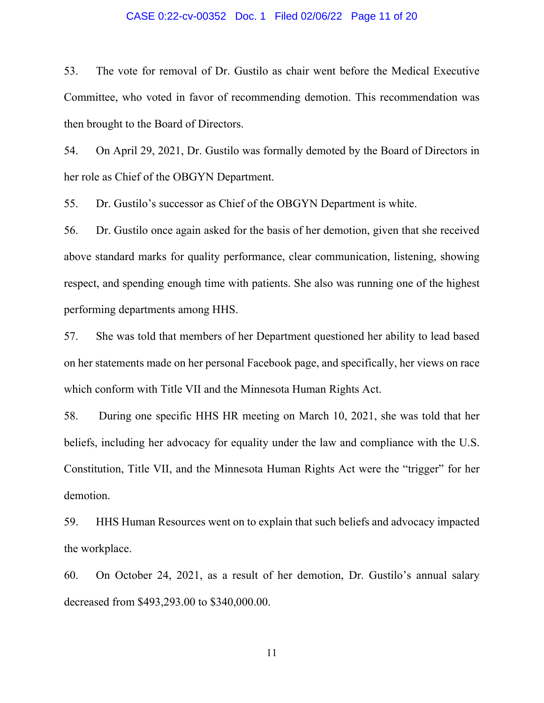### CASE 0:22-cv-00352 Doc. 1 Filed 02/06/22 Page 11 of 20

53. The vote for removal of Dr. Gustilo as chair went before the Medical Executive Committee, who voted in favor of recommending demotion. This recommendation was then brought to the Board of Directors.

54. On April 29, 2021, Dr. Gustilo was formally demoted by the Board of Directors in her role as Chief of the OBGYN Department.

55. Dr. Gustilo's successor as Chief of the OBGYN Department is white.

56. Dr. Gustilo once again asked for the basis of her demotion, given that she received above standard marks for quality performance, clear communication, listening, showing respect, and spending enough time with patients. She also was running one of the highest performing departments among HHS.

57. She was told that members of her Department questioned her ability to lead based on her statements made on her personal Facebook page, and specifically, her views on race which conform with Title VII and the Minnesota Human Rights Act.

58. During one specific HHS HR meeting on March 10, 2021, she was told that her beliefs, including her advocacy for equality under the law and compliance with the U.S. Constitution, Title VII, and the Minnesota Human Rights Act were the "trigger" for her demotion.

59. HHS Human Resources went on to explain that such beliefs and advocacy impacted the workplace.

60. On October 24, 2021, as a result of her demotion, Dr. Gustilo's annual salary decreased from \$493,293.00 to \$340,000.00.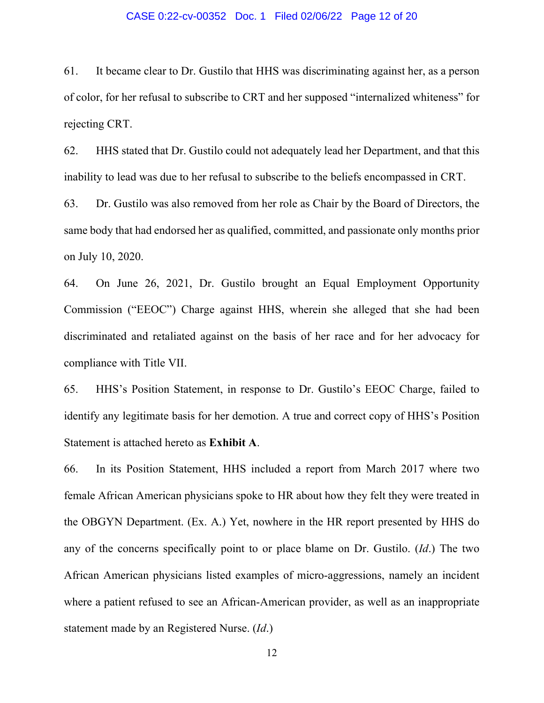#### CASE 0:22-cv-00352 Doc. 1 Filed 02/06/22 Page 12 of 20

61. It became clear to Dr. Gustilo that HHS was discriminating against her, as a person of color, for her refusal to subscribe to CRT and her supposed "internalized whiteness" for rejecting CRT.

62. HHS stated that Dr. Gustilo could not adequately lead her Department, and that this inability to lead was due to her refusal to subscribe to the beliefs encompassed in CRT.

63. Dr. Gustilo was also removed from her role as Chair by the Board of Directors, the same body that had endorsed her as qualified, committed, and passionate only months prior on July 10, 2020.

64. On June 26, 2021, Dr. Gustilo brought an Equal Employment Opportunity Commission ("EEOC") Charge against HHS, wherein she alleged that she had been discriminated and retaliated against on the basis of her race and for her advocacy for compliance with Title VII.

65. HHS's Position Statement, in response to Dr. Gustilo's EEOC Charge, failed to identify any legitimate basis for her demotion. A true and correct copy of HHS's Position Statement is attached hereto as **Exhibit A**.

66. In its Position Statement, HHS included a report from March 2017 where two female African American physicians spoke to HR about how they felt they were treated in the OBGYN Department. (Ex. A.) Yet, nowhere in the HR report presented by HHS do any of the concerns specifically point to or place blame on Dr. Gustilo. (*Id*.) The two African American physicians listed examples of micro-aggressions, namely an incident where a patient refused to see an African-American provider, as well as an inappropriate statement made by an Registered Nurse. (*Id*.)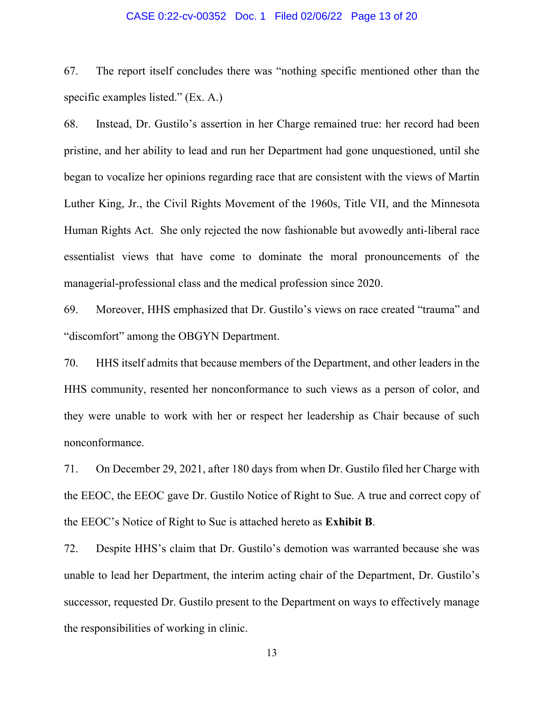#### CASE 0:22-cv-00352 Doc. 1 Filed 02/06/22 Page 13 of 20

67. The report itself concludes there was "nothing specific mentioned other than the specific examples listed." (Ex. A.)

68. Instead, Dr. Gustilo's assertion in her Charge remained true: her record had been pristine, and her ability to lead and run her Department had gone unquestioned, until she began to vocalize her opinions regarding race that are consistent with the views of Martin Luther King, Jr., the Civil Rights Movement of the 1960s, Title VII, and the Minnesota Human Rights Act. She only rejected the now fashionable but avowedly anti-liberal race essentialist views that have come to dominate the moral pronouncements of the managerial-professional class and the medical profession since 2020.

69. Moreover, HHS emphasized that Dr. Gustilo's views on race created "trauma" and "discomfort" among the OBGYN Department.

70. HHS itself admits that because members of the Department, and other leaders in the HHS community, resented her nonconformance to such views as a person of color, and they were unable to work with her or respect her leadership as Chair because of such nonconformance.

71. On December 29, 2021, after 180 days from when Dr. Gustilo filed her Charge with the EEOC, the EEOC gave Dr. Gustilo Notice of Right to Sue. A true and correct copy of the EEOC's Notice of Right to Sue is attached hereto as **Exhibit B**.

72. Despite HHS's claim that Dr. Gustilo's demotion was warranted because she was unable to lead her Department, the interim acting chair of the Department, Dr. Gustilo's successor, requested Dr. Gustilo present to the Department on ways to effectively manage the responsibilities of working in clinic.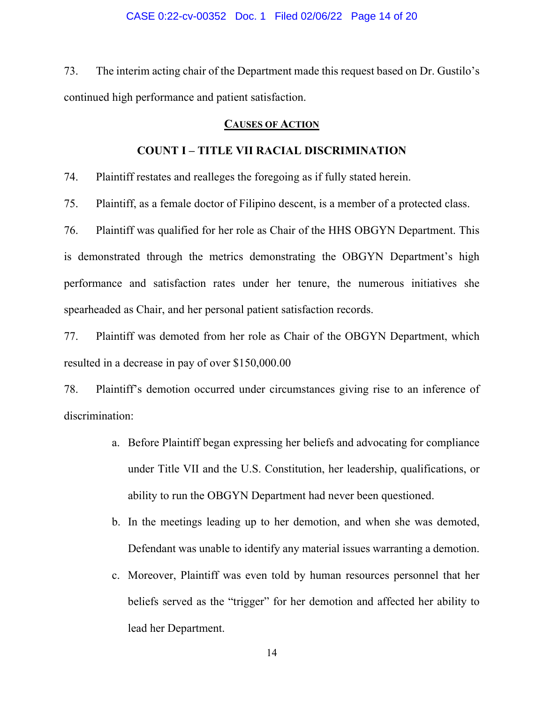73. The interim acting chair of the Department made this request based on Dr. Gustilo's continued high performance and patient satisfaction.

## **CAUSES OF ACTION**

# **COUNT I – TITLE VII RACIAL DISCRIMINATION**

74. Plaintiff restates and realleges the foregoing as if fully stated herein.

75. Plaintiff, as a female doctor of Filipino descent, is a member of a protected class.

76. Plaintiff was qualified for her role as Chair of the HHS OBGYN Department. This is demonstrated through the metrics demonstrating the OBGYN Department's high performance and satisfaction rates under her tenure, the numerous initiatives she spearheaded as Chair, and her personal patient satisfaction records.

77. Plaintiff was demoted from her role as Chair of the OBGYN Department, which resulted in a decrease in pay of over \$150,000.00

78. Plaintiff's demotion occurred under circumstances giving rise to an inference of discrimination:

- a. Before Plaintiff began expressing her beliefs and advocating for compliance under Title VII and the U.S. Constitution, her leadership, qualifications, or ability to run the OBGYN Department had never been questioned.
- b. In the meetings leading up to her demotion, and when she was demoted, Defendant was unable to identify any material issues warranting a demotion.
- c. Moreover, Plaintiff was even told by human resources personnel that her beliefs served as the "trigger" for her demotion and affected her ability to lead her Department.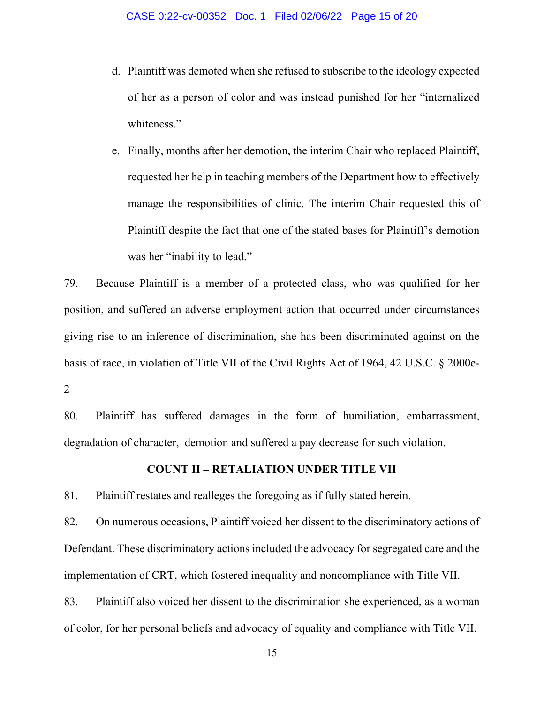d. Plaintiff was demoted when she refused to subscribe to the ideology expected of her as a person of color and was instead punished for her "internalized whiteness."

e. Finally, months after her demotion, the interim Chair who replaced Plaintiff, requested her help in teaching members of the Department how to effectively manage the responsibilities of clinic. The interim Chair requested this of Plaintiff despite the fact that one of the stated bases for Plaintiff's demotion was her "inability to lead."

79. Because Plaintiff is a member of a protected class, who was qualified for her position, and suffered an adverse employment action that occurred under circumstances giving rise to an inference of discrimination, she has been discriminated against on the basis of race, in violation of Title VII of the Civil Rights Act of 1964, 42 U.S.C. § 2000e-2

80. Plaintiff has suffered damages in the form of humiliation, embarrassment, degradation of character, demotion and suffered a pay decrease for such violation.

# **COUNT II – RETALIATION UNDER TITLE VII**

81. Plaintiff restates and realleges the foregoing as if fully stated herein.

82. On numerous occasions, Plaintiff voiced her dissent to the discriminatory actions of Defendant. These discriminatory actions included the advocacy for segregated care and the implementation of CRT, which fostered inequality and noncompliance with Title VII.

83. Plaintiff also voiced her dissent to the discrimination she experienced, as a woman of color, for her personal beliefs and advocacy of equality and compliance with Title VII.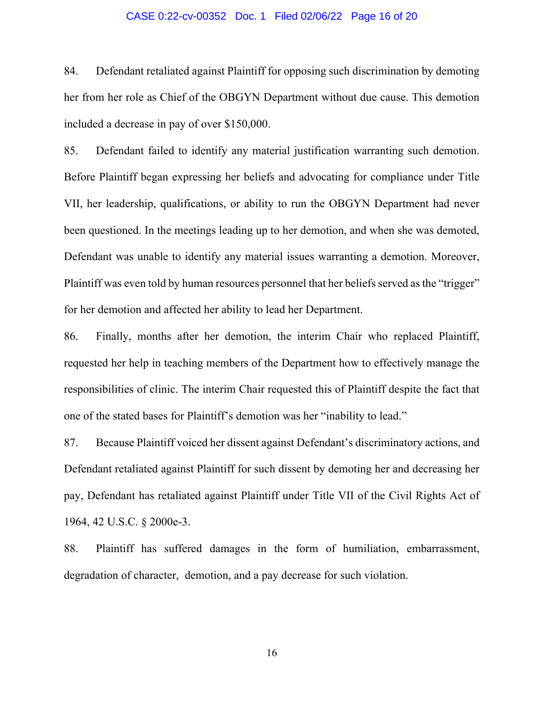#### CASE 0:22-cv-00352 Doc. 1 Filed 02/06/22 Page 16 of 20

84. Defendant retaliated against Plaintiff for opposing such discrimination by demoting her from her role as Chief of the OBGYN Department without due cause. This demotion included a decrease in pay of over \$150,000.

85. Defendant failed to identify any material justification warranting such demotion. Before Plaintiff began expressing her beliefs and advocating for compliance under Title VII, her leadership, qualifications, or ability to run the OBGYN Department had never been questioned. In the meetings leading up to her demotion, and when she was demoted, Defendant was unable to identify any material issues warranting a demotion. Moreover, Plaintiff was even told by human resources personnel that her beliefs served as the "trigger" for her demotion and affected her ability to lead her Department.

86. Finally, months after her demotion, the interim Chair who replaced Plaintiff, requested her help in teaching members of the Department how to effectively manage the responsibilities of clinic. The interim Chair requested this of Plaintiff despite the fact that one of the stated bases for Plaintiff's demotion was her "inability to lead."

87. Because Plaintiff voiced her dissent against Defendant's discriminatory actions, and Defendant retaliated against Plaintiff for such dissent by demoting her and decreasing her pay, Defendant has retaliated against Plaintiff under Title VII of the Civil Rights Act of 1964, 42 U.S.C. § 2000e-3.

88. Plaintiff has suffered damages in the form of humiliation, embarrassment, degradation of character, demotion, and a pay decrease for such violation.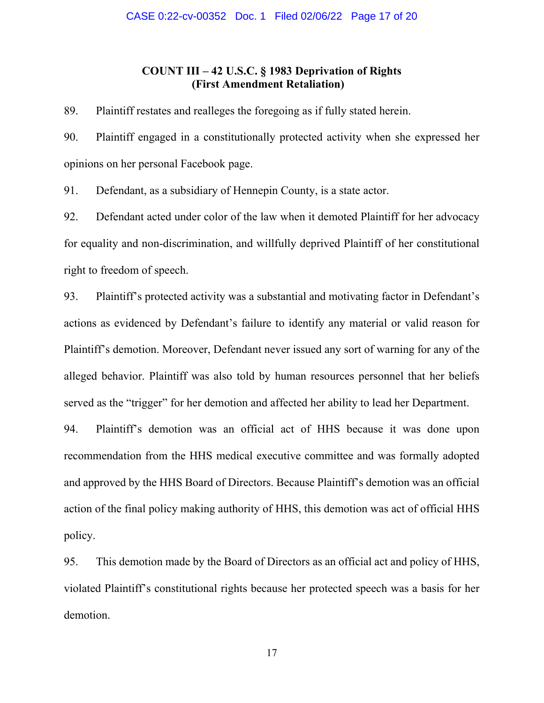# **COUNT III – 42 U.S.C. § 1983 Deprivation of Rights (First Amendment Retaliation)**

89. Plaintiff restates and realleges the foregoing as if fully stated herein.

90. Plaintiff engaged in a constitutionally protected activity when she expressed her opinions on her personal Facebook page.

91. Defendant, as a subsidiary of Hennepin County, is a state actor.

92. Defendant acted under color of the law when it demoted Plaintiff for her advocacy for equality and non-discrimination, and willfully deprived Plaintiff of her constitutional right to freedom of speech.

93. Plaintiff's protected activity was a substantial and motivating factor in Defendant's actions as evidenced by Defendant's failure to identify any material or valid reason for Plaintiff's demotion. Moreover, Defendant never issued any sort of warning for any of the alleged behavior. Plaintiff was also told by human resources personnel that her beliefs served as the "trigger" for her demotion and affected her ability to lead her Department.

94. Plaintiff's demotion was an official act of HHS because it was done upon recommendation from the HHS medical executive committee and was formally adopted and approved by the HHS Board of Directors. Because Plaintiff's demotion was an official action of the final policy making authority of HHS, this demotion was act of official HHS policy.

95. This demotion made by the Board of Directors as an official act and policy of HHS, violated Plaintiff's constitutional rights because her protected speech was a basis for her demotion.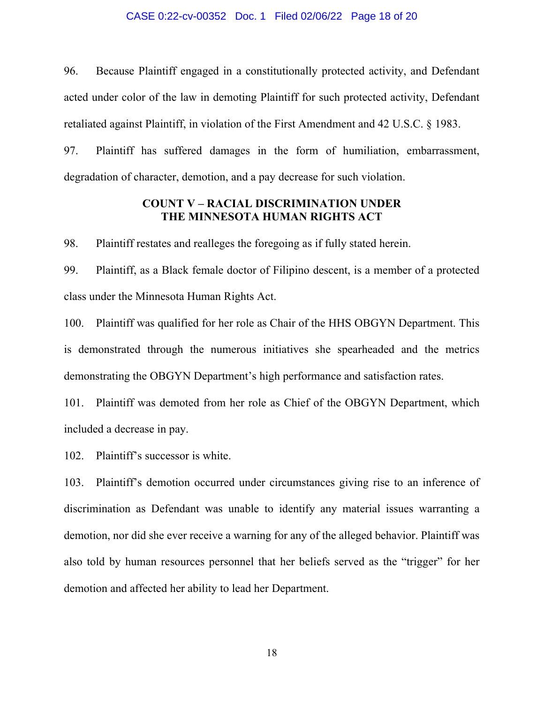#### CASE 0:22-cv-00352 Doc. 1 Filed 02/06/22 Page 18 of 20

96. Because Plaintiff engaged in a constitutionally protected activity, and Defendant acted under color of the law in demoting Plaintiff for such protected activity, Defendant retaliated against Plaintiff, in violation of the First Amendment and 42 U.S.C. § 1983.

97. Plaintiff has suffered damages in the form of humiliation, embarrassment, degradation of character, demotion, and a pay decrease for such violation.

# **COUNT V – RACIAL DISCRIMINATION UNDER THE MINNESOTA HUMAN RIGHTS ACT**

98. Plaintiff restates and realleges the foregoing as if fully stated herein.

99. Plaintiff, as a Black female doctor of Filipino descent, is a member of a protected class under the Minnesota Human Rights Act.

100. Plaintiff was qualified for her role as Chair of the HHS OBGYN Department. This is demonstrated through the numerous initiatives she spearheaded and the metrics demonstrating the OBGYN Department's high performance and satisfaction rates.

101. Plaintiff was demoted from her role as Chief of the OBGYN Department, which included a decrease in pay.

102. Plaintiff's successor is white.

103. Plaintiff's demotion occurred under circumstances giving rise to an inference of discrimination as Defendant was unable to identify any material issues warranting a demotion, nor did she ever receive a warning for any of the alleged behavior. Plaintiff was also told by human resources personnel that her beliefs served as the "trigger" for her demotion and affected her ability to lead her Department.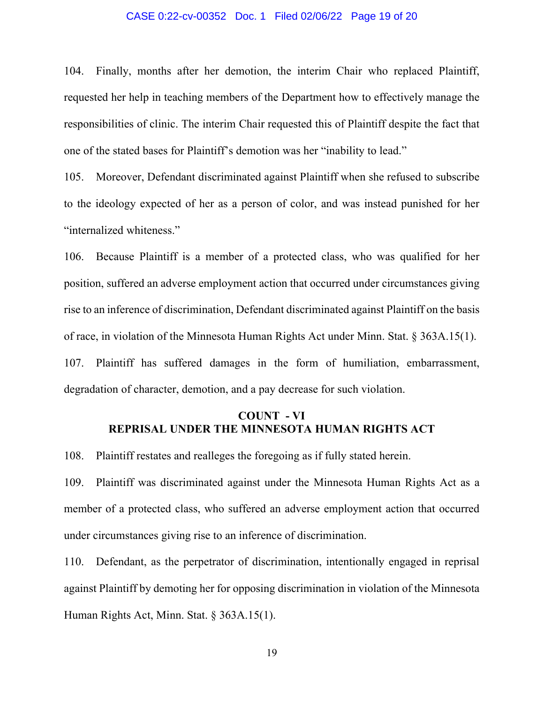#### CASE 0:22-cv-00352 Doc. 1 Filed 02/06/22 Page 19 of 20

104. Finally, months after her demotion, the interim Chair who replaced Plaintiff, requested her help in teaching members of the Department how to effectively manage the responsibilities of clinic. The interim Chair requested this of Plaintiff despite the fact that one of the stated bases for Plaintiff's demotion was her "inability to lead."

105. Moreover, Defendant discriminated against Plaintiff when she refused to subscribe to the ideology expected of her as a person of color, and was instead punished for her "internalized whiteness."

106. Because Plaintiff is a member of a protected class, who was qualified for her position, suffered an adverse employment action that occurred under circumstances giving rise to an inference of discrimination, Defendant discriminated against Plaintiff on the basis of race, in violation of the Minnesota Human Rights Act under Minn. Stat. § 363A.15(1). 107. Plaintiff has suffered damages in the form of humiliation, embarrassment, degradation of character, demotion, and a pay decrease for such violation.

# **COUNT - VI REPRISAL UNDER THE MINNESOTA HUMAN RIGHTS ACT**

108. Plaintiff restates and realleges the foregoing as if fully stated herein.

109. Plaintiff was discriminated against under the Minnesota Human Rights Act as a member of a protected class, who suffered an adverse employment action that occurred under circumstances giving rise to an inference of discrimination.

110. Defendant, as the perpetrator of discrimination, intentionally engaged in reprisal against Plaintiff by demoting her for opposing discrimination in violation of the Minnesota Human Rights Act, Minn. Stat. § 363A.15(1).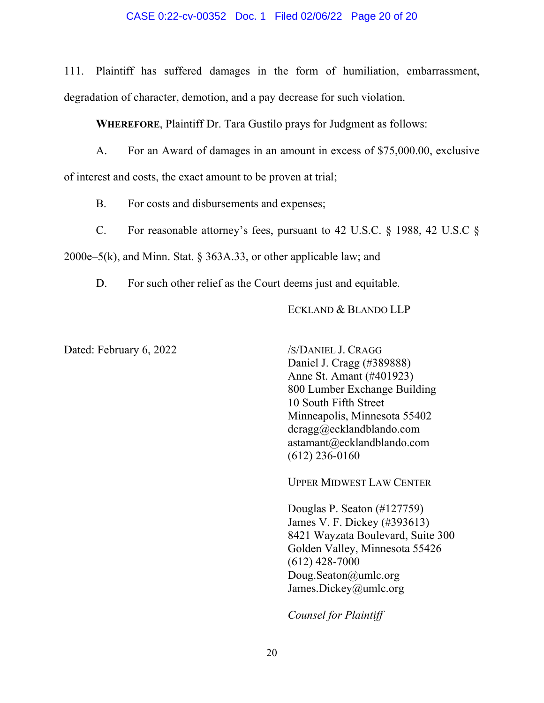### CASE 0:22-cv-00352 Doc. 1 Filed 02/06/22 Page 20 of 20

111. Plaintiff has suffered damages in the form of humiliation, embarrassment, degradation of character, demotion, and a pay decrease for such violation.

**WHEREFORE**, Plaintiff Dr. Tara Gustilo prays for Judgment as follows:

A. For an Award of damages in an amount in excess of \$75,000.00, exclusive

of interest and costs, the exact amount to be proven at trial;

B. For costs and disbursements and expenses;

C. For reasonable attorney's fees, pursuant to 42 U.S.C. § 1988, 42 U.S.C §

2000e–5(k), and Minn. Stat. § 363A.33, or other applicable law; and

D. For such other relief as the Court deems just and equitable.

# ECKLAND & BLANDO LLP

Dated: February 6, 2022 /S/DANIEL J. CRAGG

Daniel J. Cragg (#389888) Anne St. Amant (#401923) 800 Lumber Exchange Building 10 South Fifth Street Minneapolis, Minnesota 55402 dcragg@ecklandblando.com astamant@ecklandblando.com (612) 236-0160

UPPER MIDWEST LAW CENTER

Douglas P. Seaton (#127759) James V. F. Dickey (#393613) 8421 Wayzata Boulevard, Suite 300 Golden Valley, Minnesota 55426 (612) 428-7000 Doug.Seaton@umlc.org James.Dickey@umlc.org

*Counsel for Plaintiff*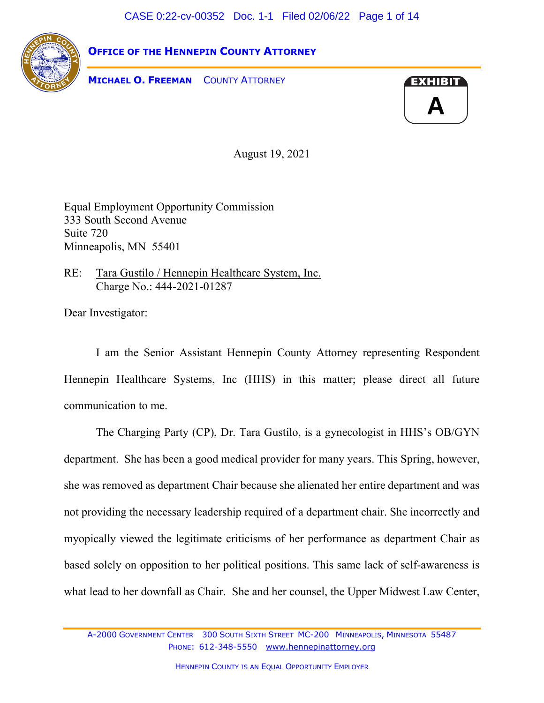CASE 0:22-cv-00352 Doc. 1-1 Filed 02/06/22 Page 1 of 14



**OFFICE OF THE HENNEPIN COUNTY ATTORNEY**

**MICHAEL O. FREEMAN** COUNTY ATTORNEY



August 19, 2021

Equal Employment Opportunity Commission 333 South Second Avenue Suite 720 Minneapolis, MN 55401

RE: Tara Gustilo / Hennepin Healthcare System, Inc. Charge No.: 444-2021-01287

Dear Investigator:

I am the Senior Assistant Hennepin County Attorney representing Respondent Hennepin Healthcare Systems, Inc (HHS) in this matter; please direct all future communication to me.

The Charging Party (CP), Dr. Tara Gustilo, is a gynecologist in HHS's OB/GYN department. She has been a good medical provider for many years. This Spring, however, she was removed as department Chair because she alienated her entire department and was not providing the necessary leadership required of a department chair. She incorrectly and myopically viewed the legitimate criticisms of her performance as department Chair as based solely on opposition to her political positions. This same lack of self-awareness is what lead to her downfall as Chair. She and her counsel, the Upper Midwest Law Center,

A-2000 GOVERNMENT CENTER 300 SOUTH SIXTH STREET MC-200 MINNEAPOLIS, MINNESOTA 55487 PHONE: 612-348-5550 [www.hennepinattorney.org](http://www.hennepinattornney.org/)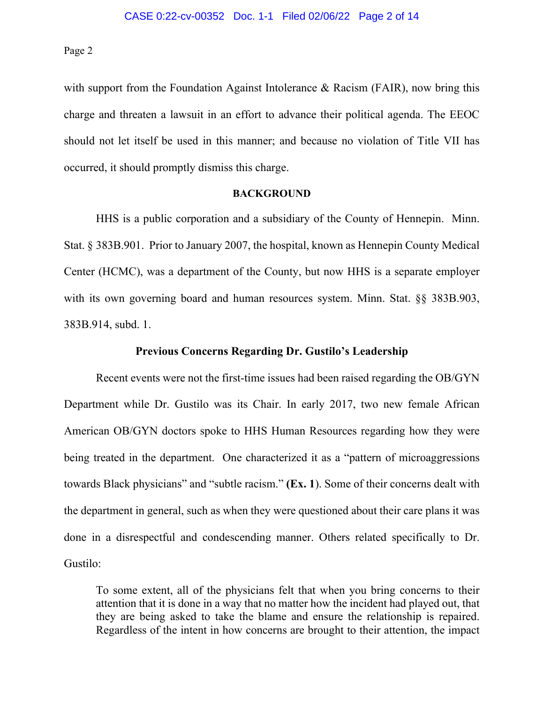with support from the Foundation Against Intolerance & Racism (FAIR), now bring this charge and threaten a lawsuit in an effort to advance their political agenda. The EEOC should not let itself be used in this manner; and because no violation of Title VII has occurred, it should promptly dismiss this charge.

#### **BACKGROUND**

HHS is a public corporation and a subsidiary of the County of Hennepin. Minn. Stat. § 383B.901. Prior to January 2007, the hospital, known as Hennepin County Medical Center (HCMC), was a department of the County, but now HHS is a separate employer with its own governing board and human resources system. Minn. Stat. §§ 383B.903, 383B.914, subd. 1.

## **Previous Concerns Regarding Dr. Gustilo's Leadership**

Recent events were not the first-time issues had been raised regarding the OB/GYN Department while Dr. Gustilo was its Chair. In early 2017, two new female African American OB/GYN doctors spoke to HHS Human Resources regarding how they were being treated in the department. One characterized it as a "pattern of microaggressions" towards Black physicians" and "subtle racism." **(Ex. 1**). Some of their concerns dealt with the department in general, such as when they were questioned about their care plans it was done in a disrespectful and condescending manner. Others related specifically to Dr. Gustilo:

To some extent, all of the physicians felt that when you bring concerns to their attention that it is done in a way that no matter how the incident had played out, that they are being asked to take the blame and ensure the relationship is repaired. Regardless of the intent in how concerns are brought to their attention, the impact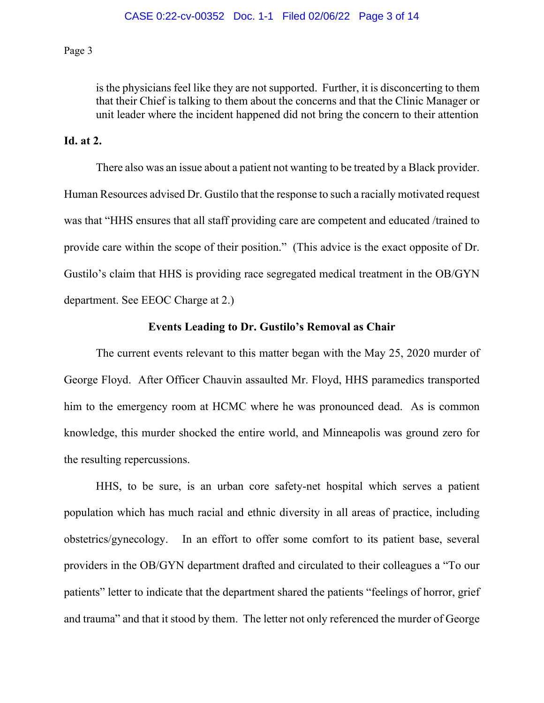is the physicians feel like they are not supported. Further, it is disconcerting to them that their Chief is talking to them about the concerns and that the Clinic Manager or unit leader where the incident happened did not bring the concern to their attention

# **Id. at 2.**

There also was an issue about a patient not wanting to be treated by a Black provider. Human Resources advised Dr. Gustilo that the response to such a racially motivated request was that "HHS ensures that all staff providing care are competent and educated /trained to provide care within the scope of their position." (This advice is the exact opposite of Dr. Gustilo's claim that HHS is providing race segregated medical treatment in the OB/GYN department. See EEOC Charge at 2.)

## **Events Leading to Dr. Gustilo's Removal as Chair**

The current events relevant to this matter began with the May 25, 2020 murder of George Floyd. After Officer Chauvin assaulted Mr. Floyd, HHS paramedics transported him to the emergency room at HCMC where he was pronounced dead. As is common knowledge, this murder shocked the entire world, and Minneapolis was ground zero for the resulting repercussions.

HHS, to be sure, is an urban core safety-net hospital which serves a patient population which has much racial and ethnic diversity in all areas of practice, including obstetrics/gynecology. In an effort to offer some comfort to its patient base, several providers in the OB/GYN department drafted and circulated to their colleagues a "To our patients" letter to indicate that the department shared the patients "feelings of horror, grief and trauma" and that it stood by them. The letter not only referenced the murder of George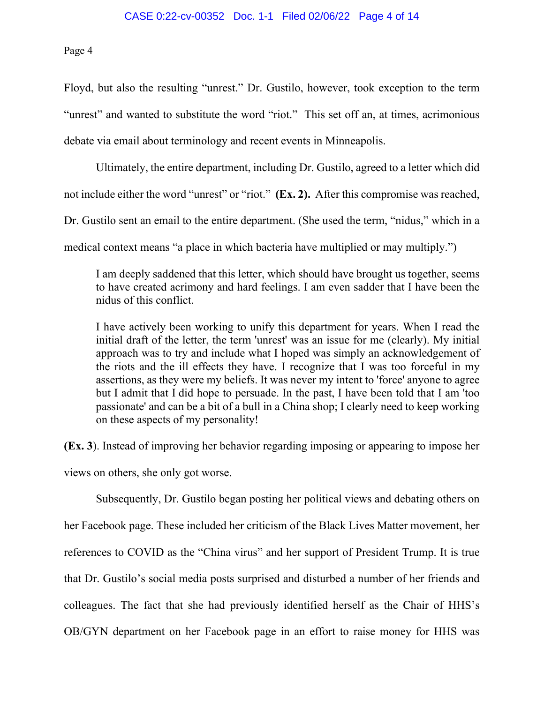Floyd, but also the resulting "unrest." Dr. Gustilo, however, took exception to the term "unrest" and wanted to substitute the word "riot." This set off an, at times, acrimonious debate via email about terminology and recent events in Minneapolis.

Ultimately, the entire department, including Dr. Gustilo, agreed to a letter which did not include either the word "unrest" or "riot." **(Ex. 2).** After this compromise was reached, Dr. Gustilo sent an email to the entire department. (She used the term, "nidus," which in a medical context means "a place in which bacteria have multiplied or may multiply.")

I am deeply saddened that this letter, which should have brought us together, seems to have created acrimony and hard feelings. I am even sadder that I have been the nidus of this conflict.

I have actively been working to unify this department for years. When I read the initial draft of the letter, the term 'unrest' was an issue for me (clearly). My initial approach was to try and include what I hoped was simply an acknowledgement of the riots and the ill effects they have. I recognize that I was too forceful in my assertions, as they were my beliefs. It was never my intent to 'force' anyone to agree but I admit that I did hope to persuade. In the past, I have been told that I am 'too passionate' and can be a bit of a bull in a China shop; I clearly need to keep working on these aspects of my personality!

**(Ex. 3**). Instead of improving her behavior regarding imposing or appearing to impose her views on others, she only got worse.

Subsequently, Dr. Gustilo began posting her political views and debating others on her Facebook page. These included her criticism of the Black Lives Matter movement, her references to COVID as the "China virus" and her support of President Trump. It is true that Dr. Gustilo's social media posts surprised and disturbed a number of her friends and colleagues. The fact that she had previously identified herself as the Chair of HHS's OB/GYN department on her Facebook page in an effort to raise money for HHS was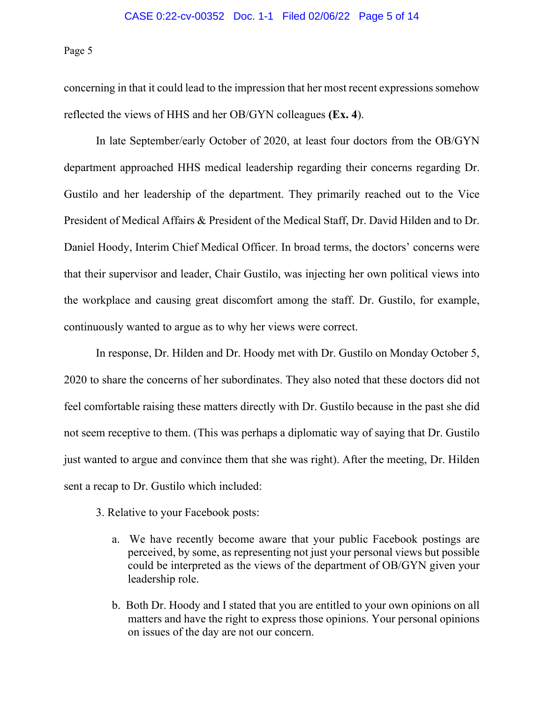concerning in that it could lead to the impression that her most recent expressions somehow reflected the views of HHS and her OB/GYN colleagues **(Ex. 4**).

In late September/early October of 2020, at least four doctors from the OB/GYN department approached HHS medical leadership regarding their concerns regarding Dr. Gustilo and her leadership of the department. They primarily reached out to the Vice President of Medical Affairs & President of the Medical Staff, Dr. David Hilden and to Dr. Daniel Hoody, Interim Chief Medical Officer. In broad terms, the doctors' concerns were that their supervisor and leader, Chair Gustilo, was injecting her own political views into the workplace and causing great discomfort among the staff. Dr. Gustilo, for example, continuously wanted to argue as to why her views were correct.

In response, Dr. Hilden and Dr. Hoody met with Dr. Gustilo on Monday October 5, 2020 to share the concerns of her subordinates. They also noted that these doctors did not feel comfortable raising these matters directly with Dr. Gustilo because in the past she did not seem receptive to them. (This was perhaps a diplomatic way of saying that Dr. Gustilo just wanted to argue and convince them that she was right). After the meeting, Dr. Hilden sent a recap to Dr. Gustilo which included:

- 3. Relative to your Facebook posts:
	- a. We have recently become aware that your public Facebook postings are perceived, by some, as representing not just your personal views but possible could be interpreted as the views of the department of OB/GYN given your leadership role.
	- b. Both Dr. Hoody and I stated that you are entitled to your own opinions on all matters and have the right to express those opinions. Your personal opinions on issues of the day are not our concern.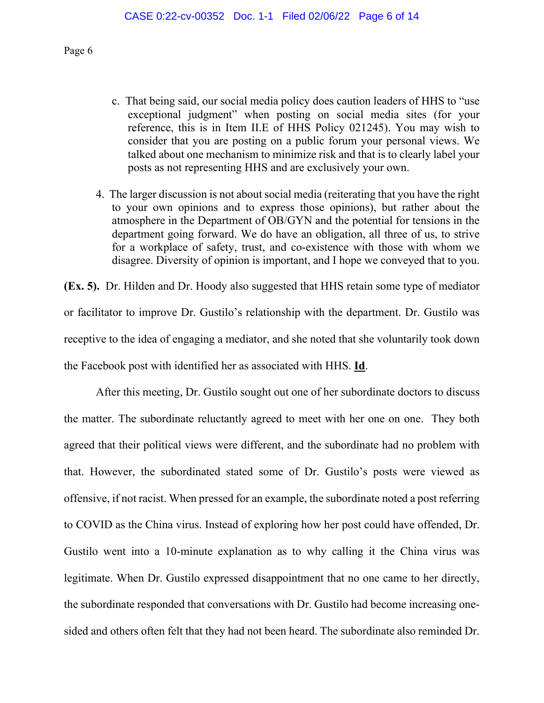- c. That being said, our social media policy does caution leaders of HHS to "use exceptional judgment" when posting on social media sites (for your reference, this is in Item II.E of HHS Policy 021245). You may wish to consider that you are posting on a public forum your personal views. We talked about one mechanism to minimize risk and that is to clearly label your posts as not representing HHS and are exclusively your own.
- 4. The larger discussion is not about social media (reiterating that you have the right to your own opinions and to express those opinions), but rather about the atmosphere in the Department of OB/GYN and the potential for tensions in the department going forward. We do have an obligation, all three of us, to strive for a workplace of safety, trust, and co-existence with those with whom we disagree. Diversity of opinion is important, and I hope we conveyed that to you.

**(Ex. 5).** Dr. Hilden and Dr. Hoody also suggested that HHS retain some type of mediator or facilitator to improve Dr. Gustilo's relationship with the department. Dr. Gustilo was receptive to the idea of engaging a mediator, and she noted that she voluntarily took down the Facebook post with identified her as associated with HHS. **Id**.

After this meeting, Dr. Gustilo sought out one of her subordinate doctors to discuss the matter. The subordinate reluctantly agreed to meet with her one on one. They both agreed that their political views were different, and the subordinate had no problem with that. However, the subordinated stated some of Dr. Gustilo's posts were viewed as offensive, if not racist. When pressed for an example, the subordinate noted a post referring to COVID as the China virus. Instead of exploring how her post could have offended, Dr. Gustilo went into a 10-minute explanation as to why calling it the China virus was legitimate. When Dr. Gustilo expressed disappointment that no one came to her directly, the subordinate responded that conversations with Dr. Gustilo had become increasing onesided and others often felt that they had not been heard. The subordinate also reminded Dr.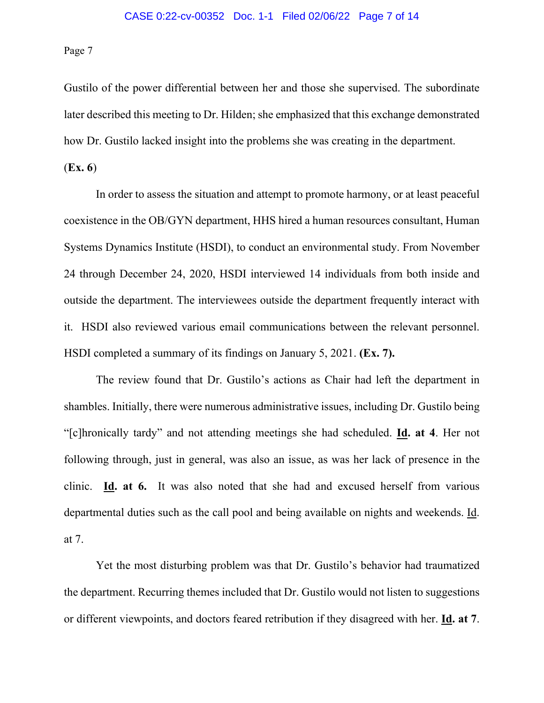Gustilo of the power differential between her and those she supervised. The subordinate later described this meeting to Dr. Hilden; she emphasized that this exchange demonstrated how Dr. Gustilo lacked insight into the problems she was creating in the department.

(**Ex. 6**)

In order to assess the situation and attempt to promote harmony, or at least peaceful coexistence in the OB/GYN department, HHS hired a human resources consultant, Human Systems Dynamics Institute (HSDI), to conduct an environmental study. From November 24 through December 24, 2020, HSDI interviewed 14 individuals from both inside and outside the department. The interviewees outside the department frequently interact with it. HSDI also reviewed various email communications between the relevant personnel. HSDI completed a summary of its findings on January 5, 2021. **(Ex. 7).**

The review found that Dr. Gustilo's actions as Chair had left the department in shambles. Initially, there were numerous administrative issues, including Dr. Gustilo being "[c]hronically tardy" and not attending meetings she had scheduled. **Id. at 4**. Her not following through, just in general, was also an issue, as was her lack of presence in the clinic. **Id. at 6.** It was also noted that she had and excused herself from various departmental duties such as the call pool and being available on nights and weekends. Id. at 7.

Yet the most disturbing problem was that Dr. Gustilo's behavior had traumatized the department. Recurring themes included that Dr. Gustilo would not listen to suggestions or different viewpoints, and doctors feared retribution if they disagreed with her. **Id. at 7**.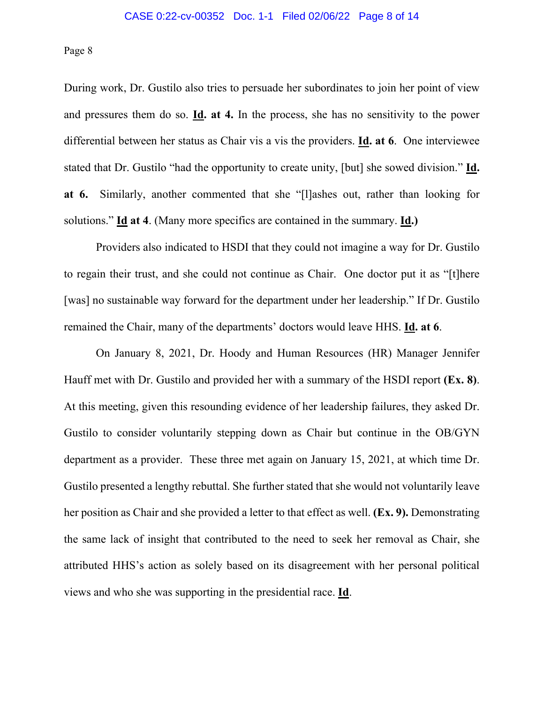During work, Dr. Gustilo also tries to persuade her subordinates to join her point of view and pressures them do so. **Id. at 4.** In the process, she has no sensitivity to the power differential between her status as Chair vis a vis the providers. **Id. at 6**. One interviewee stated that Dr. Gustilo "had the opportunity to create unity, [but] she sowed division." **Id. at 6.** Similarly, another commented that she "[l]ashes out, rather than looking for solutions." **Id at 4**. (Many more specifics are contained in the summary. **Id.)**

Providers also indicated to HSDI that they could not imagine a way for Dr. Gustilo to regain their trust, and she could not continue as Chair. One doctor put it as "[t]here [was] no sustainable way forward for the department under her leadership." If Dr. Gustilo remained the Chair, many of the departments' doctors would leave HHS. **Id. at 6**.

On January 8, 2021, Dr. Hoody and Human Resources (HR) Manager Jennifer Hauff met with Dr. Gustilo and provided her with a summary of the HSDI report **(Ex. 8)**. At this meeting, given this resounding evidence of her leadership failures, they asked Dr. Gustilo to consider voluntarily stepping down as Chair but continue in the OB/GYN department as a provider. These three met again on January 15, 2021, at which time Dr. Gustilo presented a lengthy rebuttal. She further stated that she would not voluntarily leave her position as Chair and she provided a letter to that effect as well. **(Ex. 9).** Demonstrating the same lack of insight that contributed to the need to seek her removal as Chair, she attributed HHS's action as solely based on its disagreement with her personal political views and who she was supporting in the presidential race. **Id**.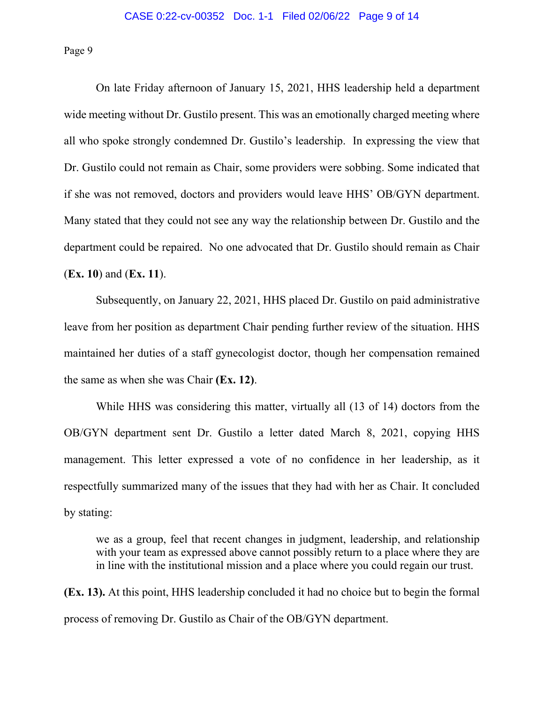On late Friday afternoon of January 15, 2021, HHS leadership held a department wide meeting without Dr. Gustilo present. This was an emotionally charged meeting where all who spoke strongly condemned Dr. Gustilo's leadership. In expressing the view that Dr. Gustilo could not remain as Chair, some providers were sobbing. Some indicated that if she was not removed, doctors and providers would leave HHS' OB/GYN department. Many stated that they could not see any way the relationship between Dr. Gustilo and the department could be repaired. No one advocated that Dr. Gustilo should remain as Chair (**Ex. 10**) and (**Ex. 11**).

Subsequently, on January 22, 2021, HHS placed Dr. Gustilo on paid administrative leave from her position as department Chair pending further review of the situation. HHS maintained her duties of a staff gynecologist doctor, though her compensation remained the same as when she was Chair **(Ex. 12)**.

While HHS was considering this matter, virtually all (13 of 14) doctors from the OB/GYN department sent Dr. Gustilo a letter dated March 8, 2021, copying HHS management. This letter expressed a vote of no confidence in her leadership, as it respectfully summarized many of the issues that they had with her as Chair. It concluded by stating:

we as a group, feel that recent changes in judgment, leadership, and relationship with your team as expressed above cannot possibly return to a place where they are in line with the institutional mission and a place where you could regain our trust.

**(Ex. 13).** At this point, HHS leadership concluded it had no choice but to begin the formal process of removing Dr. Gustilo as Chair of the OB/GYN department.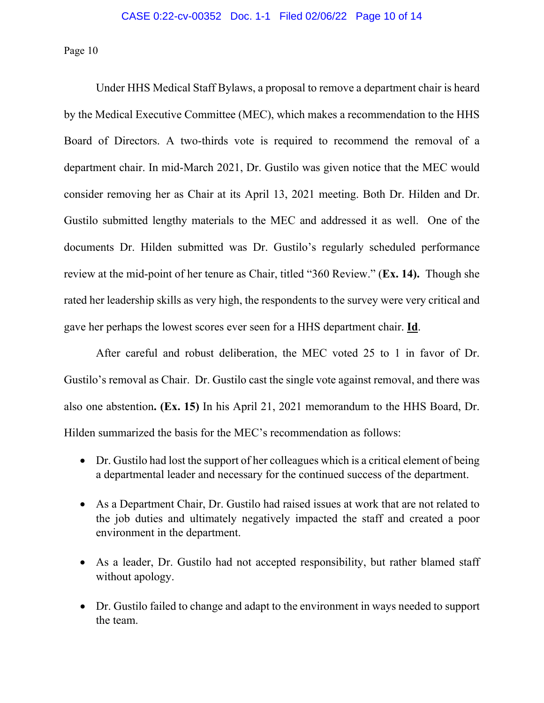Under HHS Medical Staff Bylaws, a proposal to remove a department chair is heard by the Medical Executive Committee (MEC), which makes a recommendation to the HHS Board of Directors. A two-thirds vote is required to recommend the removal of a department chair. In mid-March 2021, Dr. Gustilo was given notice that the MEC would consider removing her as Chair at its April 13, 2021 meeting. Both Dr. Hilden and Dr. Gustilo submitted lengthy materials to the MEC and addressed it as well. One of the documents Dr. Hilden submitted was Dr. Gustilo's regularly scheduled performance review at the mid-point of her tenure as Chair, titled "360 Review." (**Ex. 14).** Though she rated her leadership skills as very high, the respondents to the survey were very critical and gave her perhaps the lowest scores ever seen for a HHS department chair. **Id**.

After careful and robust deliberation, the MEC voted 25 to 1 in favor of Dr. Gustilo's removal as Chair. Dr. Gustilo cast the single vote against removal, and there was also one abstention**. (Ex. 15)** In his April 21, 2021 memorandum to the HHS Board, Dr. Hilden summarized the basis for the MEC's recommendation as follows:

- Dr. Gustilo had lost the support of her colleagues which is a critical element of being a departmental leader and necessary for the continued success of the department.
- As a Department Chair, Dr. Gustilo had raised issues at work that are not related to the job duties and ultimately negatively impacted the staff and created a poor environment in the department.
- As a leader, Dr. Gustilo had not accepted responsibility, but rather blamed staff without apology.
- Dr. Gustilo failed to change and adapt to the environment in ways needed to support the team.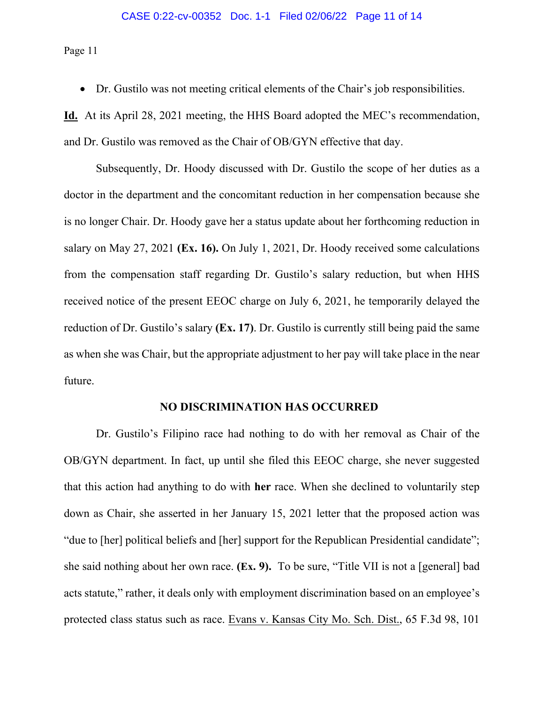#### CASE 0:22-cv-00352 Doc. 1-1 Filed 02/06/22 Page 11 of 14

Page 11

• Dr. Gustilo was not meeting critical elements of the Chair's job responsibilities.

**Id.** At its April 28, 2021 meeting, the HHS Board adopted the MEC's recommendation, and Dr. Gustilo was removed as the Chair of OB/GYN effective that day.

Subsequently, Dr. Hoody discussed with Dr. Gustilo the scope of her duties as a doctor in the department and the concomitant reduction in her compensation because she is no longer Chair. Dr. Hoody gave her a status update about her forthcoming reduction in salary on May 27, 2021 **(Ex. 16).** On July 1, 2021, Dr. Hoody received some calculations from the compensation staff regarding Dr. Gustilo's salary reduction, but when HHS received notice of the present EEOC charge on July 6, 2021, he temporarily delayed the reduction of Dr. Gustilo's salary **(Ex. 17)**. Dr. Gustilo is currently still being paid the same as when she was Chair, but the appropriate adjustment to her pay will take place in the near future.

## **NO DISCRIMINATION HAS OCCURRED**

Dr. Gustilo's Filipino race had nothing to do with her removal as Chair of the OB/GYN department. In fact, up until she filed this EEOC charge, she never suggested that this action had anything to do with **her** race. When she declined to voluntarily step down as Chair, she asserted in her January 15, 2021 letter that the proposed action was "due to [her] political beliefs and [her] support for the Republican Presidential candidate"; she said nothing about her own race. **(Ex. 9).** To be sure, "Title VII is not a [general] bad acts statute," rather, it deals only with employment discrimination based on an employee's protected class status such as race. Evans v. Kansas City Mo. Sch. Dist., 65 F.3d 98, 101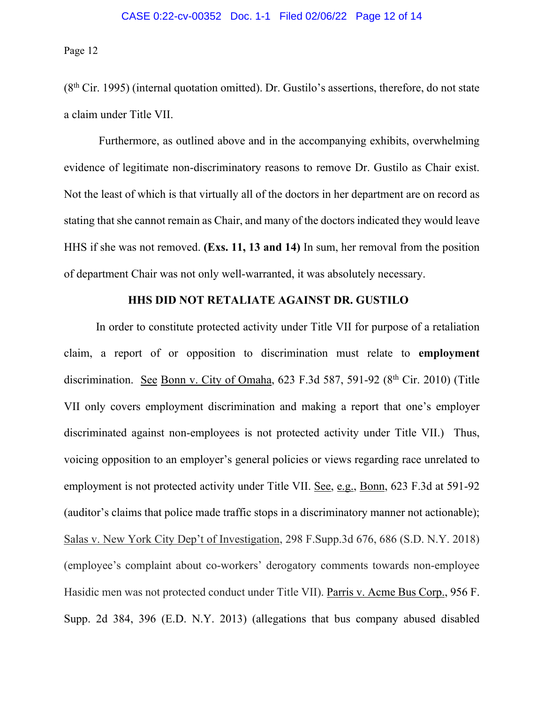$(8<sup>th</sup> Cir. 1995)$  (internal quotation omitted). Dr. Gustilo's assertions, therefore, do not state a claim under Title VII.

Furthermore, as outlined above and in the accompanying exhibits, overwhelming evidence of legitimate non-discriminatory reasons to remove Dr. Gustilo as Chair exist. Not the least of which is that virtually all of the doctors in her department are on record as stating that she cannot remain as Chair, and many of the doctors indicated they would leave HHS if she was not removed. **(Exs. 11, 13 and 14)** In sum, her removal from the position of department Chair was not only well-warranted, it was absolutely necessary.

# **HHS DID NOT RETALIATE AGAINST DR. GUSTILO**

In order to constitute protected activity under Title VII for purpose of a retaliation claim, a report of or opposition to discrimination must relate to **employment** discrimination. See Bonn v. City of Omaha,  $623$  F.3d 587, 591-92 ( $8<sup>th</sup>$  Cir. 2010) (Title VII only covers employment discrimination and making a report that one's employer discriminated against non-employees is not protected activity under Title VII.) Thus, voicing opposition to an employer's general policies or views regarding race unrelated to employment is not protected activity under Title VII. See, e.g., Bonn, 623 F.3d at 591-92 (auditor's claims that police made traffic stops in a discriminatory manner not actionable); Salas v. New York City Dep't of Investigation, 298 F.Supp.3d 676, 686 (S.D. N.Y. 2018) (employee's complaint about co-workers' derogatory comments towards non-employee Hasidic men was not protected conduct under Title VII). Parris v. Acme Bus Corp., 956 F. Supp. 2d 384, 396 (E.D. N.Y. 2013) (allegations that bus company abused disabled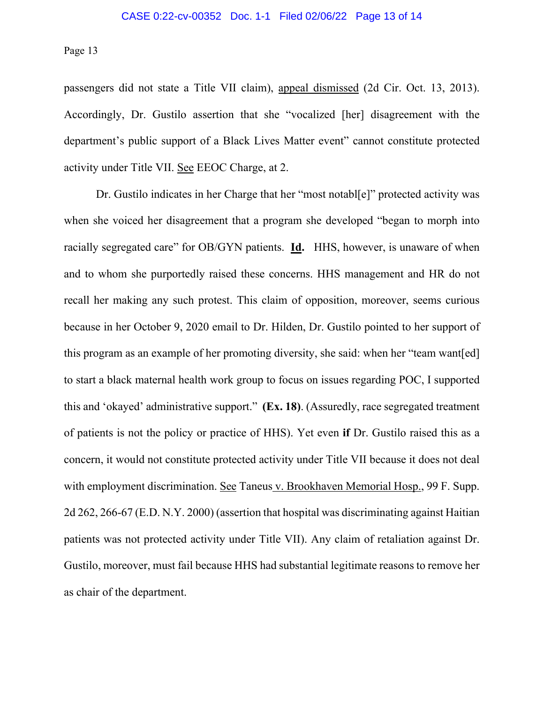passengers did not state a Title VII claim), appeal dismissed (2d Cir. Oct. 13, 2013). Accordingly, Dr. Gustilo assertion that she "vocalized [her] disagreement with the department's public support of a Black Lives Matter event" cannot constitute protected activity under Title VII. See EEOC Charge, at 2.

Dr. Gustilo indicates in her Charge that her "most notabl[e]" protected activity was when she voiced her disagreement that a program she developed "began to morph into racially segregated care" for OB/GYN patients. **Id.** HHS, however, is unaware of when and to whom she purportedly raised these concerns. HHS management and HR do not recall her making any such protest. This claim of opposition, moreover, seems curious because in her October 9, 2020 email to Dr. Hilden, Dr. Gustilo pointed to her support of this program as an example of her promoting diversity, she said: when her "team want[ed] to start a black maternal health work group to focus on issues regarding POC, I supported this and 'okayed' administrative support." **(Ex. 18)**. (Assuredly, race segregated treatment of patients is not the policy or practice of HHS). Yet even **if** Dr. Gustilo raised this as a concern, it would not constitute protected activity under Title VII because it does not deal with employment discrimination. See Taneus v. Brookhaven Memorial Hosp., 99 F. Supp. 2d 262, 266-67 (E.D. N.Y. 2000) (assertion that hospital was discriminating against Haitian patients was not protected activity under Title VII). Any claim of retaliation against Dr. Gustilo, moreover, must fail because HHS had substantial legitimate reasons to remove her as chair of the department.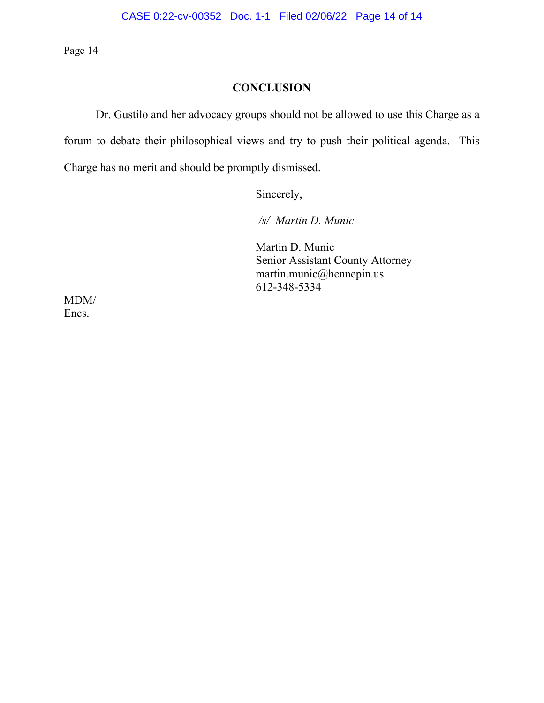# **CONCLUSION**

Dr. Gustilo and her advocacy groups should not be allowed to use this Charge as a forum to debate their philosophical views and try to push their political agenda. This Charge has no merit and should be promptly dismissed.

Sincerely,

*/s/ Martin D. Munic*

Martin D. Munic Senior Assistant County Attorney martin.munic@hennepin.us 612-348-5334

MDM/ Encs.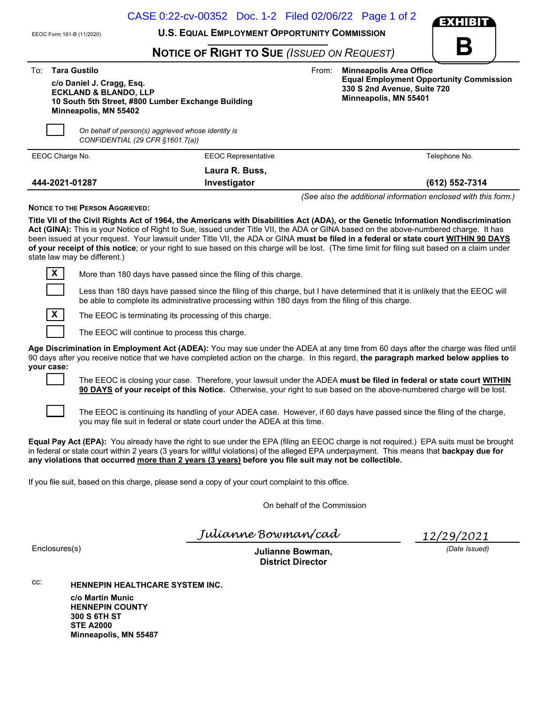|                                                               | CASE 0:22-cv-00352 Doc. 1-2 Filed 02/06/22 Page 1 of 2                                                                                                                                                                                                                                                                                                                                                                                                                                                                                                             | <b>EXHIBIT</b>                                                                                         |
|---------------------------------------------------------------|--------------------------------------------------------------------------------------------------------------------------------------------------------------------------------------------------------------------------------------------------------------------------------------------------------------------------------------------------------------------------------------------------------------------------------------------------------------------------------------------------------------------------------------------------------------------|--------------------------------------------------------------------------------------------------------|
| EEOC Form 161-B (11/2020)                                     | <b>U.S. EQUAL EMPLOYMENT OPPORTUNITY COMMISSION</b>                                                                                                                                                                                                                                                                                                                                                                                                                                                                                                                |                                                                                                        |
|                                                               | <b>NOTICE OF RIGHT TO SUE (ISSUED ON REQUEST)</b>                                                                                                                                                                                                                                                                                                                                                                                                                                                                                                                  | B                                                                                                      |
| <b>Tara Gustilo</b><br>To:                                    | From:                                                                                                                                                                                                                                                                                                                                                                                                                                                                                                                                                              | <b>Minneapolis Area Office</b>                                                                         |
| c/o Daniel J. Cragg, Esq.<br><b>ECKLAND &amp; BLANDO, LLP</b> | 10 South 5th Street, #800 Lumber Exchange Building                                                                                                                                                                                                                                                                                                                                                                                                                                                                                                                 | <b>Equal Employment Opportunity Commission</b><br>330 S 2nd Avenue, Suite 720<br>Minneapolis, MN 55401 |
| Minneapolis, MN 55402                                         |                                                                                                                                                                                                                                                                                                                                                                                                                                                                                                                                                                    |                                                                                                        |
|                                                               | On behalf of person(s) aggrieved whose identity is<br>CONFIDENTIAL (29 CFR §1601.7(a))                                                                                                                                                                                                                                                                                                                                                                                                                                                                             |                                                                                                        |
| EEOC Charge No.                                               | <b>EEOC Representative</b>                                                                                                                                                                                                                                                                                                                                                                                                                                                                                                                                         | Telephone No.                                                                                          |
|                                                               | Laura R. Buss,                                                                                                                                                                                                                                                                                                                                                                                                                                                                                                                                                     |                                                                                                        |
| 444-2021-01287                                                | Investigator                                                                                                                                                                                                                                                                                                                                                                                                                                                                                                                                                       | (612) 552-7314                                                                                         |
| <b>NOTICE TO THE PERSON AGGRIEVED:</b>                        |                                                                                                                                                                                                                                                                                                                                                                                                                                                                                                                                                                    | (See also the additional information enclosed with this form.)                                         |
| state law may be different.)                                  | Title VII of the Civil Rights Act of 1964, the Americans with Disabilities Act (ADA), or the Genetic Information Nondiscrimination<br>Act (GINA): This is your Notice of Right to Sue, issued under Title VII, the ADA or GINA based on the above-numbered charge. It has<br>been issued at your request. Your lawsuit under Title VII, the ADA or GINA must be filed in a federal or state court WITHIN 90 DAYS<br>of your receipt of this notice; or your right to sue based on this charge will be lost. (The time limit for filing suit based on a claim under |                                                                                                        |
| $\mathbf{X}$                                                  | More than 180 days have passed since the filing of this charge.                                                                                                                                                                                                                                                                                                                                                                                                                                                                                                    |                                                                                                        |
|                                                               | Less than 180 days have passed since the filing of this charge, but I have determined that it is unlikely that the EEOC will<br>be able to complete its administrative processing within 180 days from the filing of this charge.                                                                                                                                                                                                                                                                                                                                  |                                                                                                        |
| $\mathbf{X}$                                                  | The EEOC is terminating its processing of this charge.                                                                                                                                                                                                                                                                                                                                                                                                                                                                                                             |                                                                                                        |
|                                                               | The EEOC will continue to process this charge.                                                                                                                                                                                                                                                                                                                                                                                                                                                                                                                     |                                                                                                        |
| your case:                                                    | Age Discrimination in Employment Act (ADEA): You may sue under the ADEA at any time from 60 days after the charge was filed until<br>90 days after you receive notice that we have completed action on the charge. In this regard, the paragraph marked below applies to                                                                                                                                                                                                                                                                                           |                                                                                                        |
|                                                               |                                                                                                                                                                                                                                                                                                                                                                                                                                                                                                                                                                    |                                                                                                        |
|                                                               | The EEOC is closing your case. Therefore, your lawsuit under the ADEA must be filed in federal or state court WITHIN<br>90 DAYS of your receipt of this Notice. Otherwise, your right to sue based on the above-numbered charge will be lost.                                                                                                                                                                                                                                                                                                                      |                                                                                                        |





The EEOC is continuing its handling of your ADEA case. However, if 60 days have passed since the filing of the charge, you may file suit in federal or state court under the ADEA at this time.

Equal Pay Act (EPA): You already have the right to sue under the EPA (filing an EEOC charge is not required.) EPA suits must be brought in federal or state court within 2 years (3 years for willful violations) of the alleged EPA underpayment. This means that backpay due for any violations that occurred more than 2 years (3 years) before you file suit may not be collectible.

If you file suit, based on this charge, please send a copy of your court complaint to this office.

On behalf of the Commission

Julíanne Bowman/cad

12/29/2021

(Date Issued)

Enclosures(s) **Enclosures** Enclosures (s) District Director

cc: HENNEPIN HEALTHCARE SYSTEM INC. c/o Martin Munic HENNEPIN COUNTY 300 S 6TH ST STE A2000 Minneapolis, MN 55487